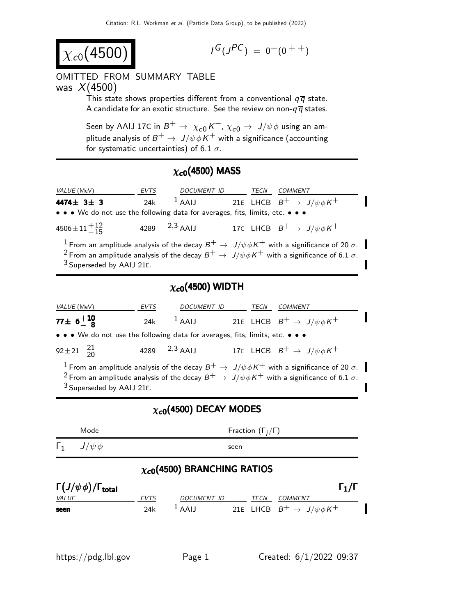$$
\chi_{c0}(4500)
$$

$$
I^G(J^{PC})\ =\ 0^+(0\ ^{++})
$$

#### OMITTED FROM SUMMARY TABLE was  $X(4500)$

This state shows properties different from a conventional  $q\bar{q}$  state. A candidate for an exotic structure. See the review on non- $q\overline{q}$  states.

Seen by AAIJ 17C in  $B^+ \rightarrow \ \chi_{c0}^{} K^+$ ,  $\chi_{c0}^{} \rightarrow \ J/\psi \phi$  using an amplitude analysis of  $B^+ \to \ J/\psi \phi \, K^+$  with a significance (accounting for systematic uncertainties) of 6.1  $\sigma$ .

## $\chi_{c0}(4500)$  MASS

| <i>VALUE</i> (MeV)                                                                                                                                                                                                                                                                | <b>EVTS</b> | DOCUMENT ID        |  | TECN | COMMENT                                    |
|-----------------------------------------------------------------------------------------------------------------------------------------------------------------------------------------------------------------------------------------------------------------------------------|-------------|--------------------|--|------|--------------------------------------------|
| 4474 $\pm$ 3 $\pm$ 3                                                                                                                                                                                                                                                              | 24k         | $1$ AAIJ           |  |      | 21E LHCB $B^+ \rightarrow J/\psi \phi K^+$ |
| • • • We do not use the following data for averages, fits, limits, etc. • • •                                                                                                                                                                                                     |             |                    |  |      |                                            |
| $4506 \pm 11 \frac{+12}{-15}$                                                                                                                                                                                                                                                     |             | 4289 $^{2,3}$ AAIJ |  |      | 17C LHCB $B^+ \rightarrow J/\psi \phi K^+$ |
| $^{-1}$ From an amplitude analysis of the decay $B^+ \to \, J/\psi \phi K^+$ with a significance of 20 $\sigma$ .<br><sup>2</sup> From an amplitude analysis of the decay $B^+ \to J/\psi \phi K^+$ with a significance of 6.1 $\sigma$ .<br><sup>3</sup> Superseded by AAIJ 21E. |             |                    |  |      |                                            |

## $\chi_{c0}$ (4500) WIDTH

| <i>VALUE</i> (MeV)                                                                                                                                                                                                                                                                  | EVTS | DOCUMENT ID        |  | TECN | COMMENT                                    |
|-------------------------------------------------------------------------------------------------------------------------------------------------------------------------------------------------------------------------------------------------------------------------------------|------|--------------------|--|------|--------------------------------------------|
| $77 \pm 6^{+10}_{-8}$                                                                                                                                                                                                                                                               | 24k  | $\frac{1}{4}$ AALI |  |      | 21E LHCB $B^+ \rightarrow J/\psi \phi K^+$ |
| • • • We do not use the following data for averages, fits, limits, etc. • • •                                                                                                                                                                                                       |      |                    |  |      |                                            |
| $92 \pm 21 \pm 21$                                                                                                                                                                                                                                                                  |      | 4289 $^{2,3}$ AAIJ |  |      | 17C LHCB $B^+ \rightarrow J/\psi \phi K^+$ |
| <sup>1</sup> From an amplitude analysis of the decay $B^+ \to J/\psi \phi K^+$ with a significance of 20 $\sigma$ .<br><sup>2</sup> From an amplitude analysis of the decay $B^+ \to J/\psi \phi K^+$ with a significance of 6.1 $\sigma$ .<br><sup>3</sup> Superseded by AAIJ 21E. |      |                    |  |      |                                            |

#### $\chi_{c0}$ (4500) DECAY MODES

| Mode                                    |                                     |                                |      | Fraction $(\Gamma_i/\Gamma)$ |                                                              |
|-----------------------------------------|-------------------------------------|--------------------------------|------|------------------------------|--------------------------------------------------------------|
| $J/\psi \phi$<br>$\mathbf{L}$           |                                     |                                | seen |                              |                                                              |
|                                         | $\chi_{c0}$ (4500) BRANCHING RATIOS |                                |      |                              |                                                              |
| $\Gamma(J/\psi\phi)/\Gamma_{\rm total}$ |                                     |                                |      |                              | $\Gamma_1/\Gamma$                                            |
| <b>VALUE</b><br>seen                    | EVTS<br>24k                         | <b>DOCUMENT ID</b><br>$1$ AAIJ |      | TECN                         | <b>COMMENT</b><br>21E LHCB $B^+ \rightarrow J/\psi \phi K^+$ |
|                                         |                                     |                                |      |                              |                                                              |